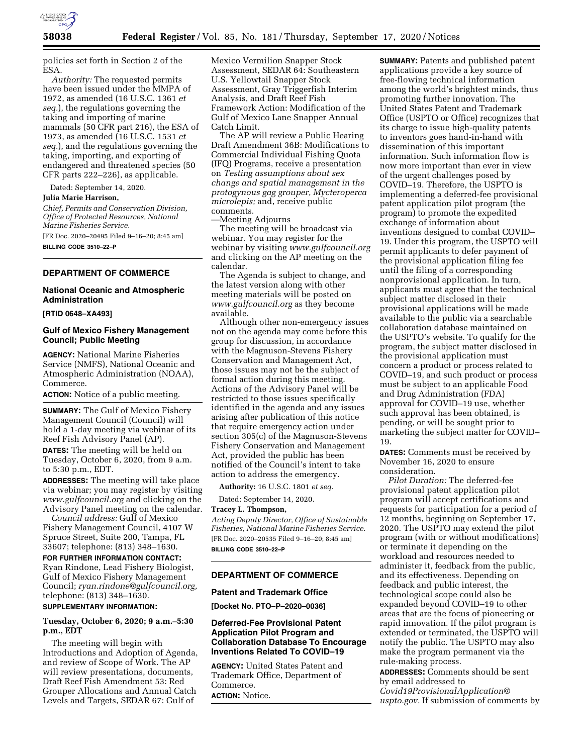

policies set forth in Section 2 of the ESA.

*Authority:* The requested permits have been issued under the MMPA of 1972, as amended (16 U.S.C. 1361 *et seq.*), the regulations governing the taking and importing of marine mammals (50 CFR part 216), the ESA of 1973, as amended (16 U.S.C. 1531 *et seq.*), and the regulations governing the taking, importing, and exporting of endangered and threatened species (50 CFR parts 222–226), as applicable.

Dated: September 14, 2020.

#### **Julia Marie Harrison,**

*Chief, Permits and Conservation Division, Office of Protected Resources, National Marine Fisheries Service.* 

[FR Doc. 2020–20495 Filed 9–16–20; 8:45 am] **BILLING CODE 3510–22–P** 

## **DEPARTMENT OF COMMERCE**

## **National Oceanic and Atmospheric Administration**

#### **[RTID 0648–XA493]**

### **Gulf of Mexico Fishery Management Council; Public Meeting**

**AGENCY:** National Marine Fisheries Service (NMFS), National Oceanic and Atmospheric Administration (NOAA), Commerce.

**ACTION:** Notice of a public meeting.

**SUMMARY:** The Gulf of Mexico Fishery Management Council (Council) will hold a 1-day meeting via webinar of its Reef Fish Advisory Panel (AP).

**DATES:** The meeting will be held on Tuesday, October 6, 2020, from 9 a.m. to 5:30 p.m., EDT.

**ADDRESSES:** The meeting will take place via webinar; you may register by visiting *[www.gulfcouncil.org](http://www.gulfcouncil.org)* and clicking on the Advisory Panel meeting on the calendar.

*Council address:* Gulf of Mexico Fishery Management Council, 4107 W Spruce Street, Suite 200, Tampa, FL 33607; telephone: (813) 348–1630.

# **FOR FURTHER INFORMATION CONTACT:**

Ryan Rindone, Lead Fishery Biologist, Gulf of Mexico Fishery Management Council; *[ryan.rindone@gulfcouncil.org,](mailto:ryan.rindone@gulfcouncil.org)*  telephone: (813) 348–1630.

# **SUPPLEMENTARY INFORMATION:**

### **Tuesday, October 6, 2020; 9 a.m.–5:30 p.m., EDT**

The meeting will begin with Introductions and Adoption of Agenda, and review of Scope of Work. The AP will review presentations, documents, Draft Reef Fish Amendment 53: Red Grouper Allocations and Annual Catch Levels and Targets, SEDAR 67: Gulf of

Mexico Vermilion Snapper Stock Assessment, SEDAR 64: Southeastern U.S. Yellowtail Snapper Stock Assessment, Gray Triggerfish Interim Analysis, and Draft Reef Fish Framework Action: Modification of the Gulf of Mexico Lane Snapper Annual Catch Limit.

The AP will review a Public Hearing Draft Amendment 36B: Modifications to Commercial Individual Fishing Quota (IFQ) Programs, receive a presentation on *Testing assumptions about sex change and spatial management in the protogynous gag grouper, Mycteroperca microlepis;* and, receive public comments.

—Meeting Adjourns

The meeting will be broadcast via webinar. You may register for the webinar by visiting *[www.gulfcouncil.org](http://www.gulfcouncil.org)*  and clicking on the AP meeting on the calendar.

The Agenda is subject to change, and the latest version along with other meeting materials will be posted on *[www.gulfcouncil.org](http://www.gulfcouncil.org)* as they become available.

Although other non-emergency issues not on the agenda may come before this group for discussion, in accordance with the Magnuson-Stevens Fishery Conservation and Management Act, those issues may not be the subject of formal action during this meeting. Actions of the Advisory Panel will be restricted to those issues specifically identified in the agenda and any issues arising after publication of this notice that require emergency action under section 305(c) of the Magnuson-Stevens Fishery Conservation and Management Act, provided the public has been notified of the Council's intent to take action to address the emergency.

**Authority:** 16 U.S.C. 1801 *et seq.* 

Dated: September 14, 2020.

### **Tracey L. Thompson,**

*Acting Deputy Director, Office of Sustainable Fisheries, National Marine Fisheries Service.*  [FR Doc. 2020–20535 Filed 9–16–20; 8:45 am] **BILLING CODE 3510–22–P** 

#### **DEPARTMENT OF COMMERCE**

#### **Patent and Trademark Office**

**[Docket No. PTO–P–2020–0036]** 

### **Deferred-Fee Provisional Patent Application Pilot Program and Collaboration Database To Encourage Inventions Related To COVID–19**

**AGENCY:** United States Patent and Trademark Office, Department of Commerce. **ACTION:** Notice.

**SUMMARY:** Patents and published patent applications provide a key source of free-flowing technical information among the world's brightest minds, thus promoting further innovation. The United States Patent and Trademark Office (USPTO or Office) recognizes that its charge to issue high-quality patents to inventors goes hand-in-hand with dissemination of this important information. Such information flow is now more important than ever in view of the urgent challenges posed by COVID–19. Therefore, the USPTO is implementing a deferred-fee provisional patent application pilot program (the program) to promote the expedited exchange of information about inventions designed to combat COVID– 19. Under this program, the USPTO will permit applicants to defer payment of the provisional application filing fee until the filing of a corresponding nonprovisional application. In turn, applicants must agree that the technical subject matter disclosed in their provisional applications will be made available to the public via a searchable collaboration database maintained on the USPTO's website. To qualify for the program, the subject matter disclosed in the provisional application must concern a product or process related to COVID–19, and such product or process must be subject to an applicable Food and Drug Administration (FDA) approval for COVID–19 use, whether such approval has been obtained, is pending, or will be sought prior to marketing the subject matter for COVID– 19.

**DATES:** Comments must be received by November 16, 2020 to ensure consideration.

*Pilot Duration:* The deferred-fee provisional patent application pilot program will accept certifications and requests for participation for a period of 12 months, beginning on September 17, 2020. The USPTO may extend the pilot program (with or without modifications) or terminate it depending on the workload and resources needed to administer it, feedback from the public, and its effectiveness. Depending on feedback and public interest, the technological scope could also be expanded beyond COVID–19 to other areas that are the focus of pioneering or rapid innovation. If the pilot program is extended or terminated, the USPTO will notify the public. The USPTO may also make the program permanent via the rule-making process.

**ADDRESSES:** Comments should be sent by email addressed to *[Covid19ProvisionalApplication@](mailto:Covid19ProvisionalApplication@uspto.gov) [uspto.gov.](mailto:Covid19ProvisionalApplication@uspto.gov)* If submission of comments by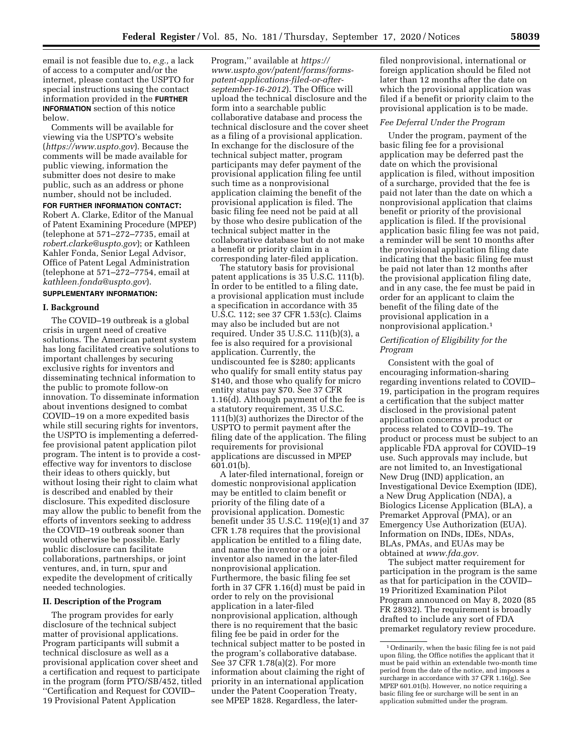email is not feasible due to, *e.g.,* a lack of access to a computer and/or the internet, please contact the USPTO for special instructions using the contact information provided in the **FURTHER INFORMATION** section of this notice below.

Comments will be available for viewing via the USPTO's website (*<https://www.uspto.gov>*). Because the comments will be made available for public viewing, information the submitter does not desire to make public, such as an address or phone number, should not be included. **FOR FURTHER INFORMATION CONTACT:**  Robert A. Clarke, Editor of the Manual

of Patent Examining Procedure (MPEP) (telephone at 571–272–7735, email at *[robert.clarke@uspto.gov](mailto:robert.clarke@uspto.gov)*); or Kathleen Kahler Fonda, Senior Legal Advisor, Office of Patent Legal Administration (telephone at 571–272–7754, email at *[kathleen.fonda@uspto.gov](mailto:kathleen.fonda@uspto.gov)*).

## **SUPPLEMENTARY INFORMATION:**

### **I. Background**

The COVID–19 outbreak is a global crisis in urgent need of creative solutions. The American patent system has long facilitated creative solutions to important challenges by securing exclusive rights for inventors and disseminating technical information to the public to promote follow-on innovation. To disseminate information about inventions designed to combat COVID–19 on a more expedited basis while still securing rights for inventors, the USPTO is implementing a deferredfee provisional patent application pilot program. The intent is to provide a costeffective way for inventors to disclose their ideas to others quickly, but without losing their right to claim what is described and enabled by their disclosure. This expedited disclosure may allow the public to benefit from the efforts of inventors seeking to address the COVID–19 outbreak sooner than would otherwise be possible. Early public disclosure can facilitate collaborations, partnerships, or joint ventures, and, in turn, spur and expedite the development of critically needed technologies.

#### **II. Description of the Program**

The program provides for early disclosure of the technical subject matter of provisional applications. Program participants will submit a technical disclosure as well as a provisional application cover sheet and a certification and request to participate in the program (form PTO/SB/452, titled ''Certification and Request for COVID– 19 Provisional Patent Application

Program,'' available at *[https://](https://www.uspto.gov/patent/forms/forms-patent-applications-filed-or-after-september-16-2012) [www.uspto.gov/patent/forms/forms](https://www.uspto.gov/patent/forms/forms-patent-applications-filed-or-after-september-16-2012)[patent-applications-filed-or-after](https://www.uspto.gov/patent/forms/forms-patent-applications-filed-or-after-september-16-2012)[september-16-2012](https://www.uspto.gov/patent/forms/forms-patent-applications-filed-or-after-september-16-2012)*). The Office will upload the technical disclosure and the form into a searchable public collaborative database and process the technical disclosure and the cover sheet as a filing of a provisional application. In exchange for the disclosure of the technical subject matter, program participants may defer payment of the provisional application filing fee until such time as a nonprovisional application claiming the benefit of the provisional application is filed. The basic filing fee need not be paid at all by those who desire publication of the technical subject matter in the collaborative database but do not make a benefit or priority claim in a corresponding later-filed application.

The statutory basis for provisional patent applications is 35 U.S.C. 111(b). In order to be entitled to a filing date, a provisional application must include a specification in accordance with 35 U.S.C. 112; see 37 CFR 1.53(c). Claims may also be included but are not required. Under 35 U.S.C. 111(b)(3), a fee is also required for a provisional application. Currently, the undiscounted fee is \$280; applicants who qualify for small entity status pay \$140, and those who qualify for micro entity status pay \$70. See 37 CFR 1.16(d). Although payment of the fee is a statutory requirement, 35 U.S.C. 111(b)(3) authorizes the Director of the USPTO to permit payment after the filing date of the application. The filing requirements for provisional applications are discussed in MPEP 601.01(b).

A later-filed international, foreign or domestic nonprovisional application may be entitled to claim benefit or priority of the filing date of a provisional application. Domestic benefit under 35 U.S.C. 119(e)(1) and 37 CFR 1.78 requires that the provisional application be entitled to a filing date, and name the inventor or a joint inventor also named in the later-filed nonprovisional application. Furthermore, the basic filing fee set forth in 37 CFR 1.16(d) must be paid in order to rely on the provisional application in a later-filed nonprovisional application, although there is no requirement that the basic filing fee be paid in order for the technical subject matter to be posted in the program's collaborative database. See 37 CFR 1.78(a)(2). For more information about claiming the right of priority in an international application under the Patent Cooperation Treaty, see MPEP 1828. Regardless, the later-

filed nonprovisional, international or foreign application should be filed not later than 12 months after the date on which the provisional application was filed if a benefit or priority claim to the provisional application is to be made.

#### *Fee Deferral Under the Program*

Under the program, payment of the basic filing fee for a provisional application may be deferred past the date on which the provisional application is filed, without imposition of a surcharge, provided that the fee is paid not later than the date on which a nonprovisional application that claims benefit or priority of the provisional application is filed. If the provisional application basic filing fee was not paid, a reminder will be sent 10 months after the provisional application filing date indicating that the basic filing fee must be paid not later than 12 months after the provisional application filing date, and in any case, the fee must be paid in order for an applicant to claim the benefit of the filing date of the provisional application in a nonprovisional application.1

# *Certification of Eligibility for the Program*

Consistent with the goal of encouraging information-sharing regarding inventions related to COVID– 19, participation in the program requires a certification that the subject matter disclosed in the provisional patent application concerns a product or process related to COVID–19. The product or process must be subject to an applicable FDA approval for COVID–19 use. Such approvals may include, but are not limited to, an Investigational New Drug (IND) application, an Investigational Device Exemption (IDE), a New Drug Application (NDA), a Biologics License Application (BLA), a Premarket Approval (PMA), or an Emergency Use Authorization (EUA). Information on INDs, IDEs, NDAs, BLAs, PMAs, and EUAs may be obtained at *[www.fda.gov.](http://www.fda.gov)* 

The subject matter requirement for participation in the program is the same as that for participation in the COVID– 19 Prioritized Examination Pilot Program announced on May 8, 2020 (85 FR 28932). The requirement is broadly drafted to include any sort of FDA premarket regulatory review procedure.

<sup>&</sup>lt;sup>1</sup> Ordinarily, when the basic filing fee is not paid upon filing, the Office notifies the applicant that it must be paid within an extendable two-month time period from the date of the notice, and imposes a surcharge in accordance with 37 CFR 1.16(g). See MPEP 601.01(b). However, no notice requiring a basic filing fee or surcharge will be sent in an application submitted under the program.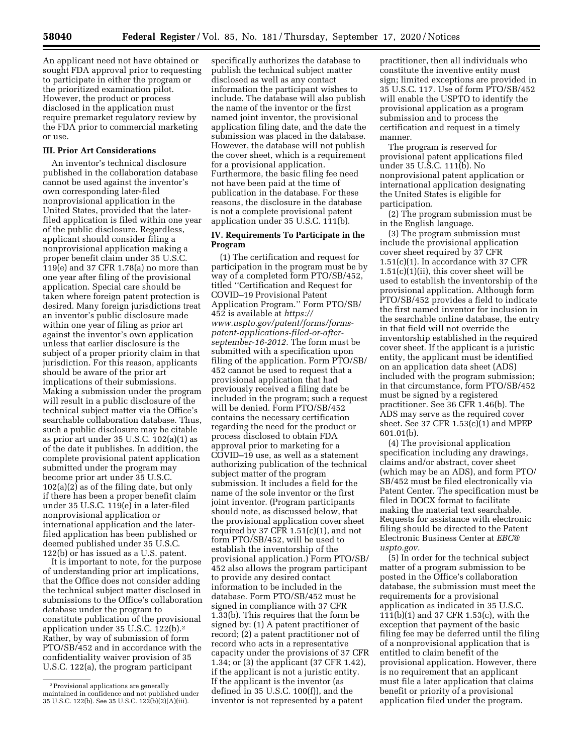An applicant need not have obtained or sought FDA approval prior to requesting to participate in either the program or the prioritized examination pilot. However, the product or process disclosed in the application must require premarket regulatory review by the FDA prior to commercial marketing or use.

# **III. Prior Art Considerations**

An inventor's technical disclosure published in the collaboration database cannot be used against the inventor's own corresponding later-filed nonprovisional application in the United States, provided that the laterfiled application is filed within one year of the public disclosure. Regardless, applicant should consider filing a nonprovisional application making a proper benefit claim under 35 U.S.C. 119(e) and 37 CFR 1.78(a) no more than one year after filing of the provisional application. Special care should be taken where foreign patent protection is desired. Many foreign jurisdictions treat an inventor's public disclosure made within one year of filing as prior art against the inventor's own application unless that earlier disclosure is the subject of a proper priority claim in that jurisdiction. For this reason, applicants should be aware of the prior art implications of their submissions. Making a submission under the program will result in a public disclosure of the technical subject matter via the Office's searchable collaboration database. Thus, such a public disclosure may be citable as prior art under 35 U.S.C. 102(a)(1) as of the date it publishes. In addition, the complete provisional patent application submitted under the program may become prior art under 35 U.S.C. 102(a)(2) as of the filing date, but only if there has been a proper benefit claim under 35 U.S.C. 119(e) in a later-filed nonprovisional application or international application and the laterfiled application has been published or deemed published under 35 U.S.C. 122(b) or has issued as a U.S. patent.

It is important to note, for the purpose of understanding prior art implications, that the Office does not consider adding the technical subject matter disclosed in submissions to the Office's collaboration database under the program to constitute publication of the provisional application under 35 U.S.C. 122(b).2 Rather, by way of submission of form PTO/SB/452 and in accordance with the confidentiality waiver provision of 35 U.S.C. 122(a), the program participant

specifically authorizes the database to publish the technical subject matter disclosed as well as any contact information the participant wishes to include. The database will also publish the name of the inventor or the first named joint inventor, the provisional application filing date, and the date the submission was placed in the database. However, the database will not publish the cover sheet, which is a requirement for a provisional application. Furthermore, the basic filing fee need not have been paid at the time of publication in the database. For these reasons, the disclosure in the database is not a complete provisional patent application under 35 U.S.C. 111(b).

## **IV. Requirements To Participate in the Program**

(1) The certification and request for participation in the program must be by way of a completed form PTO/SB/452, titled ''Certification and Request for COVID–19 Provisional Patent Application Program.'' Form PTO/SB/ 452 is available at *[https://](https://www.uspto.gov/patent/forms/forms-patent-applications-filed-or-after-september-16-2012) [www.uspto.gov/patent/forms/forms](https://www.uspto.gov/patent/forms/forms-patent-applications-filed-or-after-september-16-2012)patent-applications-filed-or-after[september-16-2012.](https://www.uspto.gov/patent/forms/forms-patent-applications-filed-or-after-september-16-2012)* The form must be submitted with a specification upon filing of the application. Form PTO/SB/ 452 cannot be used to request that a provisional application that had previously received a filing date be included in the program; such a request will be denied. Form PTO/SB/452 contains the necessary certification regarding the need for the product or process disclosed to obtain FDA approval prior to marketing for a COVID–19 use, as well as a statement authorizing publication of the technical subject matter of the program submission. It includes a field for the name of the sole inventor or the first joint inventor. (Program participants should note, as discussed below, that the provisional application cover sheet required by 37 CFR  $1.51(c)(1)$ , and not form PTO/SB/452, will be used to establish the inventorship of the provisional application.) Form PTO/SB/ 452 also allows the program participant to provide any desired contact information to be included in the database. Form PTO/SB/452 must be signed in compliance with 37 CFR 1.33(b). This requires that the form be signed by: (1) A patent practitioner of record; (2) a patent practitioner not of record who acts in a representative capacity under the provisions of 37 CFR 1.34; or (3) the applicant (37 CFR 1.42), if the applicant is not a juristic entity. If the applicant is the inventor (as defined in 35 U.S.C. 100(f)), and the inventor is not represented by a patent

practitioner, then all individuals who constitute the inventive entity must sign; limited exceptions are provided in 35 U.S.C. 117. Use of form PTO/SB/452 will enable the USPTO to identify the provisional application as a program submission and to process the certification and request in a timely manner.

The program is reserved for provisional patent applications filed under 35 U.S.C. 111(b). No nonprovisional patent application or international application designating the United States is eligible for participation.

(2) The program submission must be in the English language.

(3) The program submission must include the provisional application cover sheet required by 37 CFR 1.51(c)(1). In accordance with 37 CFR  $1.51(c)(1)(ii)$ , this cover sheet will be used to establish the inventorship of the provisional application. Although form PTO/SB/452 provides a field to indicate the first named inventor for inclusion in the searchable online database, the entry in that field will not override the inventorship established in the required cover sheet. If the applicant is a juristic entity, the applicant must be identified on an application data sheet (ADS) included with the program submission; in that circumstance, form PTO/SB/452 must be signed by a registered practitioner. See 36 CFR 1.46(b). The ADS may serve as the required cover sheet. See 37 CFR 1.53(c)(1) and MPEP 601.01(b).

(4) The provisional application specification including any drawings, claims and/or abstract, cover sheet (which may be an ADS), and form PTO/ SB/452 must be filed electronically via Patent Center. The specification must be filed in DOCX format to facilitate making the material text searchable. Requests for assistance with electronic filing should be directed to the Patent Electronic Business Center at *[EBC@](mailto:EBC@uspto.gov) [uspto.gov.](mailto:EBC@uspto.gov)* 

(5) In order for the technical subject matter of a program submission to be posted in the Office's collaboration database, the submission must meet the requirements for a provisional application as indicated in 35 U.S.C. 111(b)(1) and 37 CFR 1.53(c), with the exception that payment of the basic filing fee may be deferred until the filing of a nonprovisional application that is entitled to claim benefit of the provisional application. However, there is no requirement that an applicant must file a later application that claims benefit or priority of a provisional application filed under the program.

<sup>2</sup>Provisional applications are generally maintained in confidence and not published under 35 U.S.C. 122(b). See 35 U.S.C. 122(b)(2)(A)(iii).